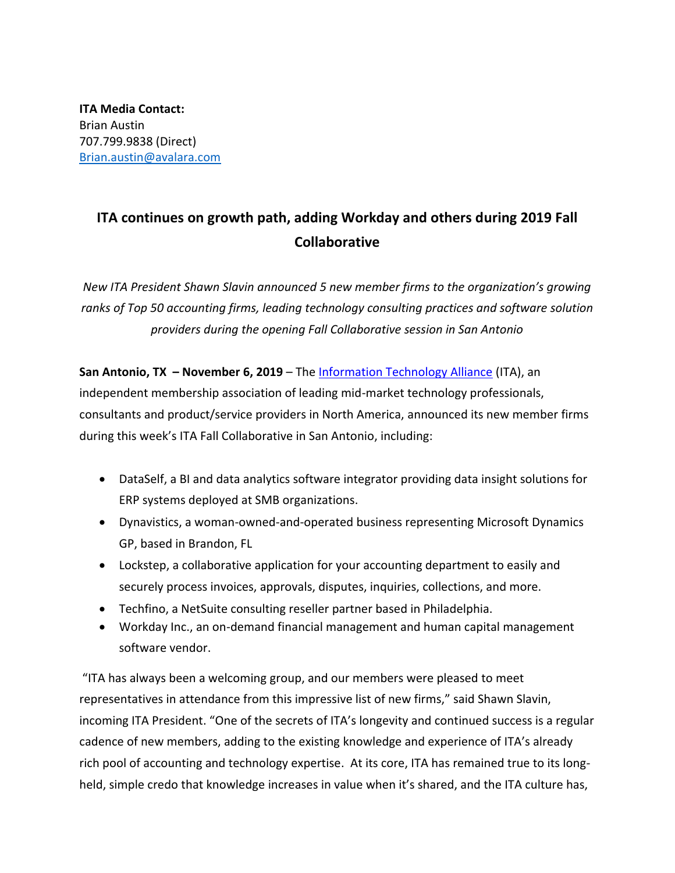## **ITA continues on growth path, adding Workday and others during 2019 Fall Collaborative**

*New ITA President Shawn Slavin announced 5 new member firms to the organization's growing ranks of Top 50 accounting firms, leading technology consulting practices and software solution providers during the opening Fall Collaborative session in San Antonio*

**San Antonio, TX - November 6, 2019** – The **Information Technology Alliance** (ITA), an independent membership association of leading mid-market technology professionals, consultants and product/service providers in North America, announced its new member firms during this week's ITA Fall Collaborative in San Antonio, including:

- DataSelf, a BI and data analytics software integrator providing data insight solutions for ERP systems deployed at SMB organizations.
- Dynavistics, a woman-owned-and-operated business representing Microsoft Dynamics GP, based in Brandon, FL
- Lockstep, a collaborative application for your accounting department to easily and securely process invoices, approvals, disputes, inquiries, collections, and more.
- Techfino, a NetSuite consulting reseller partner based in Philadelphia.
- Workday Inc., an on-demand financial management and human capital management software vendor.

"ITA has always been a welcoming group, and our members were pleased to meet representatives in attendance from this impressive list of new firms," said Shawn Slavin, incoming ITA President. "One of the secrets of ITA's longevity and continued success is a regular cadence of new members, adding to the existing knowledge and experience of ITA's already rich pool of accounting and technology expertise. At its core, ITA has remained true to its longheld, simple credo that knowledge increases in value when it's shared, and the ITA culture has,